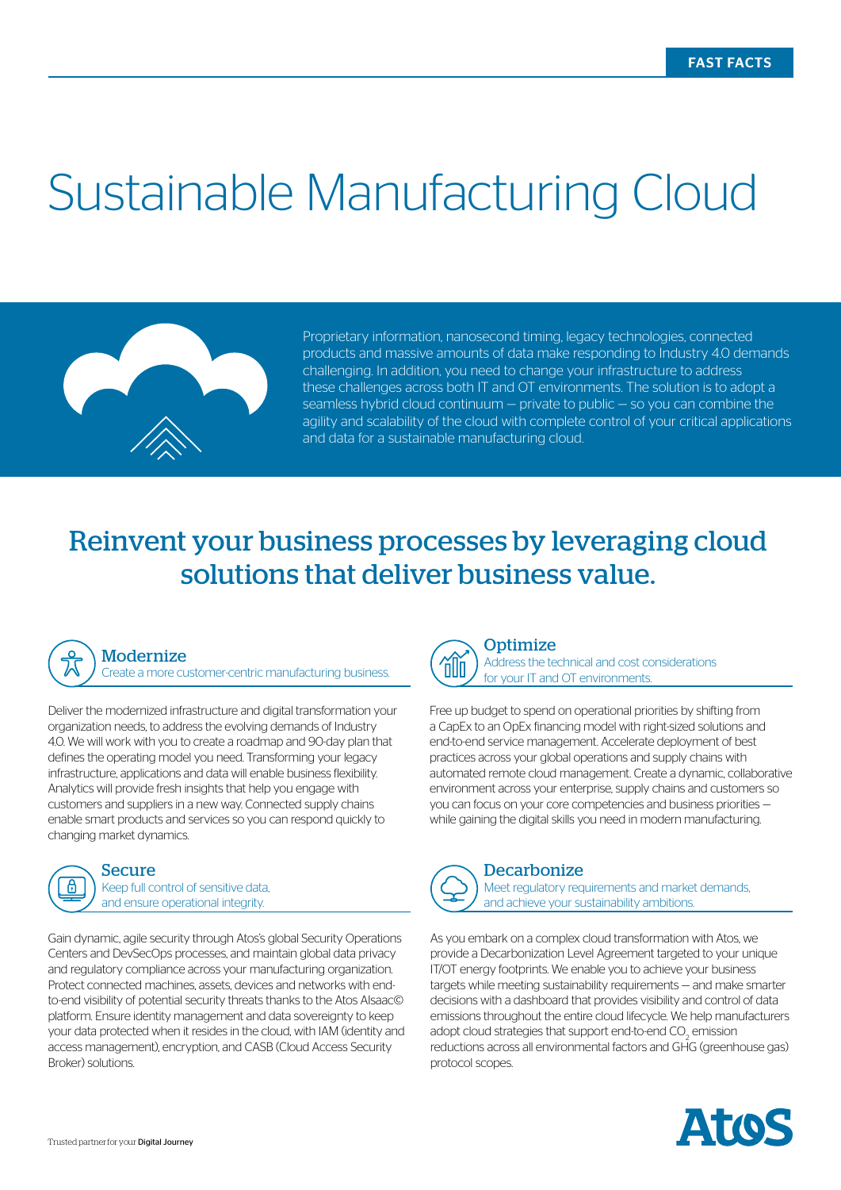# Sustainable Manufacturing Cloud



Proprietary information, nanosecond timing, legacy technologies, connected products and massive amounts of data make responding to Industry 4.0 demands challenging. In addition, you need to change your infrastructure to address these challenges across both IT and OT environments. The solution is to adopt a seamless hybrid cloud continuum — private to public — so you can combine the agility and scalability of the cloud with complete control of your critical applications and data for a sustainable manufacturing cloud.

## Reinvent your business processes by leveraging cloud solutions that deliver business value.



#### Modernize

Create a more customer-centric manufacturing business.

Deliver the modernized infrastructure and digital transformation your organization needs, to address the evolving demands of Industry 4.0. We will work with you to create a roadmap and 90-day plan that defines the operating model you need. Transforming your legacy infrastructure, applications and data will enable business flexibility. Analytics will provide fresh insights that help you engage with customers and suppliers in a new way. Connected supply chains enable smart products and services so you can respond quickly to changing market dynamics.



Secure Keep full control of sensitive data, and ensure operational integrity.

Gain dynamic, agile security through Atos's global Security Operations Centers and DevSecOps processes, and maintain global data privacy and regulatory compliance across your manufacturing organization. Protect connected machines, assets, devices and networks with endto-end visibility of potential security threats thanks to the Atos AIsaac© platform. Ensure identity management and data sovereignty to keep your data protected when it resides in the cloud, with IAM (identity and access management), encryption, and CASB (Cloud Access Security Broker) solutions.



**Optimize** Address the technical and cost considerations for your IT and OT environments.

Free up budget to spend on operational priorities by shifting from a CapEx to an OpEx financing model with right-sized solutions and end-to-end service management. Accelerate deployment of best practices across your global operations and supply chains with automated remote cloud management. Create a dynamic, collaborative environment across your enterprise, supply chains and customers so you can focus on your core competencies and business priorities while gaining the digital skills you need in modern manufacturing.



#### **Decarbonize**

Meet regulatory requirements and market demands, and achieve your sustainability ambitions.

As you embark on a complex cloud transformation with Atos, we provide a Decarbonization Level Agreement targeted to your unique IT/OT energy footprints. We enable you to achieve your business targets while meeting sustainability requirements — and make smarter decisions with a dashboard that provides visibility and control of data emissions throughout the entire cloud lifecycle. We help manufacturers adopt cloud strategies that support end-to-end  $\mathrm{CO}_2$  emission reductions across all environmental factors and GHG (greenhouse gas) protocol scopes.